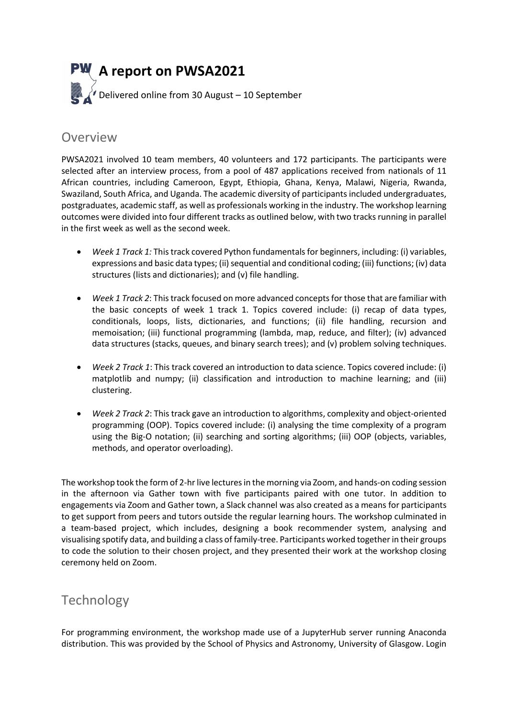

### Overview

PWSA2021 involved 10 team members, 40 volunteers and 172 participants. The participants were selected after an interview process, from a pool of 487 applications received from nationals of 11 African countries, including Cameroon, Egypt, Ethiopia, Ghana, Kenya, Malawi, Nigeria, Rwanda, Swaziland, South Africa, and Uganda. The academic diversity of participants included undergraduates, postgraduates, academic staff, as well as professionals working in the industry. The workshop learning outcomes were divided into four different tracks as outlined below, with two tracks running in parallel in the first week as well as the second week.

- Week 1 Track 1: This track covered Python fundamentals for beginners, including: (i) variables, expressions and basic data types; (ii) sequential and conditional coding; (iii) functions; (iv) data structures (lists and dictionaries); and (v) file handling.
- Week 1 Track 2: This track focused on more advanced concepts for those that are familiar with the basic concepts of week 1 track 1. Topics covered include: (i) recap of data types, conditionals, loops, lists, dictionaries, and functions; (ii) file handling, recursion and memoisation; (iii) functional programming (lambda, map, reduce, and filter); (iv) advanced data structures (stacks, queues, and binary search trees); and (v) problem solving techniques.
- Week 2 Track 1: This track covered an introduction to data science. Topics covered include: (i) matplotlib and numpy; (ii) classification and introduction to machine learning; and (iii) clustering.
- Week 2 Track 2: This track gave an introduction to algorithms, complexity and object-oriented programming (OOP). Topics covered include: (i) analysing the time complexity of a program using the Big-O notation; (ii) searching and sorting algorithms; (iii) OOP (objects, variables, methods, and operator overloading).

The workshop took the form of 2-hr live lectures in the morning via Zoom, and hands-on coding session in the afternoon via Gather town with five participants paired with one tutor. In addition to engagements via Zoom and Gather town, a Slack channel was also created as a means for participants to get support from peers and tutors outside the regular learning hours. The workshop culminated in a team-based project, which includes, designing a book recommender system, analysing and visualising spotify data, and building a class of family-tree. Participants worked together in their groups to code the solution to their chosen project, and they presented their work at the workshop closing ceremony held on Zoom.

## **Technology**

For programming environment, the workshop made use of a JupyterHub server running Anaconda distribution. This was provided by the School of Physics and Astronomy, University of Glasgow. Login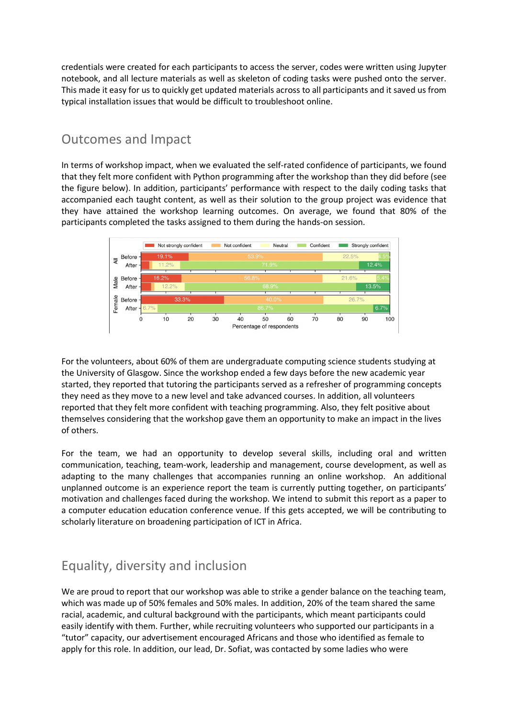credentials were created for each participants to access the server, codes were written using Jupyter notebook, and all lecture materials as well as skeleton of coding tasks were pushed onto the server. This made it easy for us to quickly get updated materials across to all participants and it saved us from typical installation issues that would be difficult to troubleshoot online.

## Outcomes and Impact

In terms of workshop impact, when we evaluated the self-rated confidence of participants, we found that they felt more confident with Python programming after the workshop than they did before (see the figure below). In addition, participants' performance with respect to the daily coding tasks that accompanied each taught content, as well as their solution to the group project was evidence that they have attained the workshop learning outcomes. On average, we found that 80% of the participants completed the tasks assigned to them during the hands-on session.



For the volunteers, about 60% of them are undergraduate computing science students studying at the University of Glasgow. Since the workshop ended a few days before the new academic year started, they reported that tutoring the participants served as a refresher of programming concepts they need as they move to a new level and take advanced courses. In addition, all volunteers reported that they felt more confident with teaching programming. Also, they felt positive about themselves considering that the workshop gave them an opportunity to make an impact in the lives of others.

For the team, we had an opportunity to develop several skills, including oral and written communication, teaching, team-work, leadership and management, course development, as well as adapting to the many challenges that accompanies running an online workshop. An additional unplanned outcome is an experience report the team is currently putting together, on participants' motivation and challenges faced during the workshop. We intend to submit this report as a paper to a computer education education conference venue. If this gets accepted, we will be contributing to scholarly literature on broadening participation of ICT in Africa.

# Equality, diversity and inclusion

We are proud to report that our workshop was able to strike a gender balance on the teaching team, which was made up of 50% females and 50% males. In addition, 20% of the team shared the same racial, academic, and cultural background with the participants, which meant participants could easily identify with them. Further, while recruiting volunteers who supported our participants in a "tutor" capacity, our advertisement encouraged Africans and those who identified as female to apply for this role. In addition, our lead, Dr. Sofiat, was contacted by some ladies who were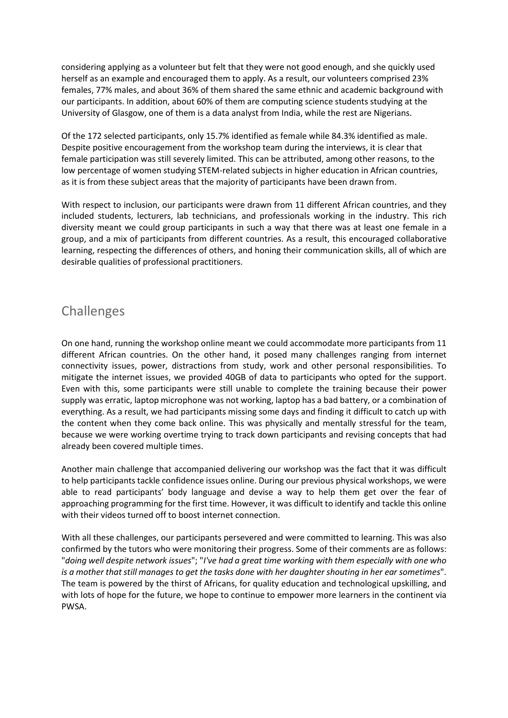considering applying as a volunteer but felt that they were not good enough, and she quickly used herself as an example and encouraged them to apply. As a result, our volunteers comprised 23% females, 77% males, and about 36% of them shared the same ethnic and academic background with our participants. In addition, about 60% of them are computing science students studying at the University of Glasgow, one of them is a data analyst from India, while the rest are Nigerians.

Of the 172 selected participants, only 15.7% identified as female while 84.3% identified as male. Despite positive encouragement from the workshop team during the interviews, it is clear that female participation was still severely limited. This can be attributed, among other reasons, to the low percentage of women studying STEM-related subjects in higher education in African countries, as it is from these subject areas that the majority of participants have been drawn from.

With respect to inclusion, our participants were drawn from 11 different African countries, and they included students, lecturers, lab technicians, and professionals working in the industry. This rich diversity meant we could group participants in such a way that there was at least one female in a group, and a mix of participants from different countries. As a result, this encouraged collaborative learning, respecting the differences of others, and honing their communication skills, all of which are desirable qualities of professional practitioners.

## Challenges

On one hand, running the workshop online meant we could accommodate more participants from 11 different African countries. On the other hand, it posed many challenges ranging from internet connectivity issues, power, distractions from study, work and other personal responsibilities. To mitigate the internet issues, we provided 40GB of data to participants who opted for the support. Even with this, some participants were still unable to complete the training because their power supply was erratic, laptop microphone was not working, laptop has a bad battery, or a combination of everything. As a result, we had participants missing some days and finding it difficult to catch up with the content when they come back online. This was physically and mentally stressful for the team, because we were working overtime trying to track down participants and revising concepts that had already been covered multiple times.

Another main challenge that accompanied delivering our workshop was the fact that it was difficult to help participants tackle confidence issues online. During our previous physical workshops, we were able to read participants' body language and devise a way to help them get over the fear of approaching programming for the first time. However, it was difficult to identify and tackle this online with their videos turned off to boost internet connection.

With all these challenges, our participants persevered and were committed to learning. This was also confirmed by the tutors who were monitoring their progress. Some of their comments are as follows: "doing well despite network issues"; "I've had a great time working with them especially with one who is a mother that still manages to get the tasks done with her daughter shouting in her ear sometimes". The team is powered by the thirst of Africans, for quality education and technological upskilling, and with lots of hope for the future, we hope to continue to empower more learners in the continent via PWSA.